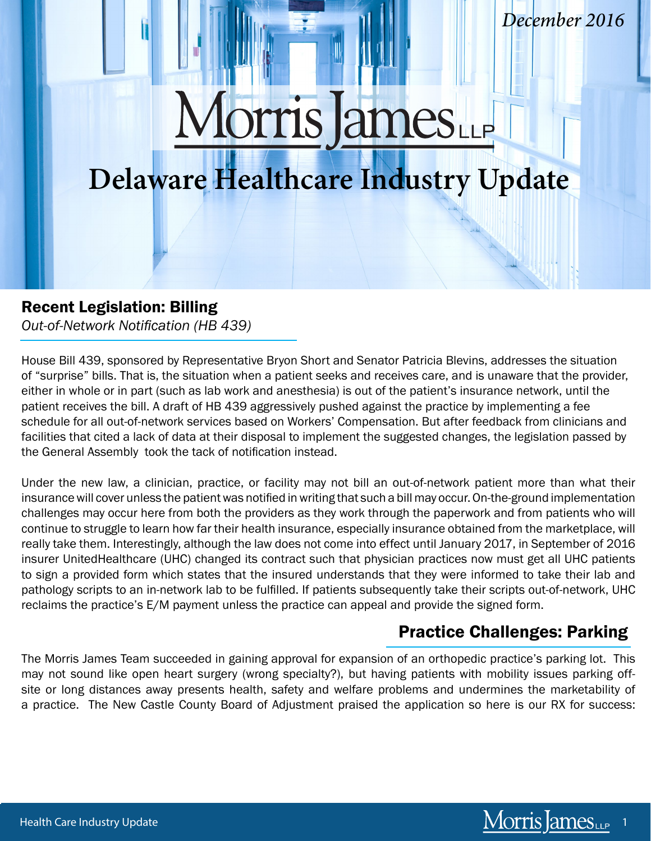# Morris James

# **Delaware Healthcare Industry Update**

#### Recent Legislation: Billing

Practice Challenges: Billing

*Out-of-Network Notification (HB 439)* 

House Bill 439, sponsored by Representative Bryon Short and Senator Patricia Blevins, addresses the situation of "surprise" bills. That is, the situation when a patient seeks and receives care, and is unaware that the provider, either in whole or in part (such as lab work and anesthesia) is out of the patient's insurance network, until the patient receives the bill. A draft of HB 439 aggressively pushed against the practice by implementing a fee schedule for all out-of-network services based on Workers' Compensation. But after feedback from clinicians and facilities that cited a lack of data at their disposal to implement the suggested changes, the legislation passed by the General Assembly took the tack of notification instead.

Under the new law, a clinician, practice, or facility may not bill an out-of-network patient more than what their insurance will cover unless the patient was notified in writing that such a bill may occur. On-the-ground implementation challenges may occur here from both the providers as they work through the paperwork and from patients who will continue to struggle to learn how far their health insurance, especially insurance obtained from the marketplace, will really take them. Interestingly, although the law does not come into effect until January 2017, in September of 2016 insurer UnitedHealthcare (UHC) changed its contract such that physician practices now must get all UHC patients to sign a provided form which states that the insured understands that they were informed to take their lab and pathology scripts to an in-network lab to be fulfilled. If patients subsequently take their scripts out-of-network, UHC reclaims the practice's E/M payment unless the practice can appeal and provide the signed form.

# Practice Challenges: Parking

The Morris James Team succeeded in gaining approval for expansion of an orthopedic practice's parking lot. This may not sound like open heart surgery (wrong specialty?), but having patients with mobility issues parking offsite or long distances away presents health, safety and welfare problems and undermines the marketability of a practice. The New Castle County Board of Adjustment praised the application so here is our RX for success:

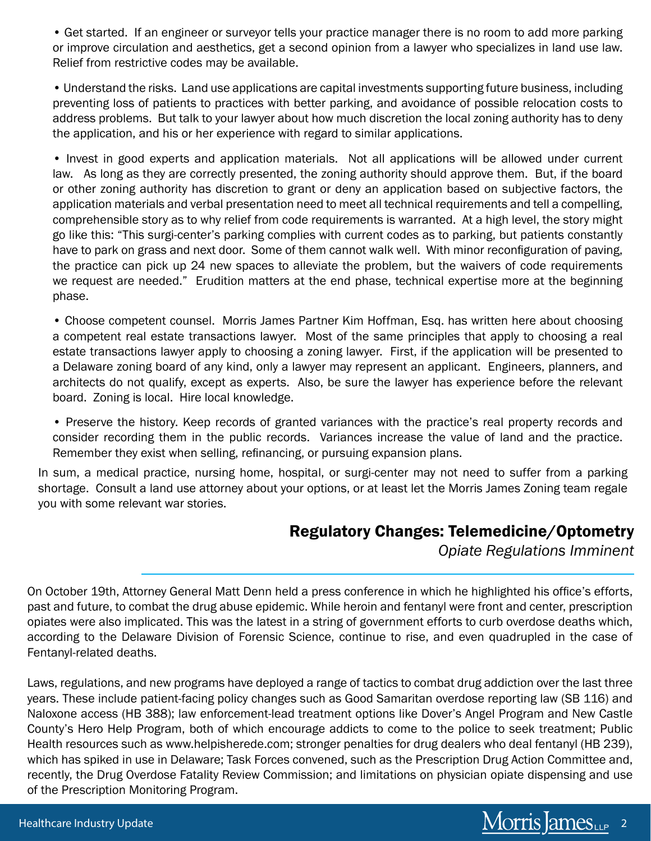• Get started. If an engineer or surveyor tells your practice manager there is no room to add more parking or improve circulation and aesthetics, get a second opinion from a lawyer who specializes in land use law. Relief from restrictive codes may be available.

• Understand the risks. Land use applications are capital investments supporting future business, including preventing loss of patients to practices with better parking, and avoidance of possible relocation costs to address problems. But talk to your lawyer about how much discretion the local zoning authority has to deny the application, and his or her experience with regard to similar applications.

• Invest in good experts and application materials. Not all applications will be allowed under current law. As long as they are correctly presented, the zoning authority should approve them. But, if the board or other zoning authority has discretion to grant or deny an application based on subjective factors, the application materials and verbal presentation need to meet all technical requirements and tell a compelling, comprehensible story as to why relief from code requirements is warranted. At a high level, the story might go like this: "This surgi-center's parking complies with current codes as to parking, but patients constantly have to park on grass and next door. Some of them cannot walk well. With minor reconfiguration of paving, the practice can pick up 24 new spaces to alleviate the problem, but the waivers of code requirements we request are needed." Erudition matters at the end phase, technical expertise more at the beginning phase.

• Choose competent counsel. Morris James Partner Kim Hoffman, Esq. has written here about choosing a competent real estate transactions lawyer. Most of the same principles that apply to choosing a real estate transactions lawyer apply to choosing a zoning lawyer. First, if the application will be presented to a Delaware zoning board of any kind, only a lawyer may represent an applicant. Engineers, planners, and architects do not qualify, except as experts. Also, be sure the lawyer has experience before the relevant board. Zoning is local. Hire local knowledge.

• Preserve the history. Keep records of granted variances with the practice's real property records and consider recording them in the public records. Variances increase the value of land and the practice. Remember they exist when selling, refinancing, or pursuing expansion plans.

In sum, a medical practice, nursing home, hospital, or surgi-center may not need to suffer from a parking shortage. Consult a land use attorney about your options, or at least let the Morris James Zoning team regale you with some relevant war stories.

#### Regulatory Changes: Telemedicine/Optometry

*Opiate Regulations Imminent*

On October 19th, Attorney General Matt Denn held a press conference in which he highlighted his office's efforts, past and future, to combat the drug abuse epidemic. While heroin and fentanyl were front and center, prescription opiates were also implicated. This was the latest in a string of government efforts to curb overdose deaths which, according to the Delaware Division of Forensic Science, continue to rise, and even quadrupled in the case of Fentanyl-related deaths.

Laws, regulations, and new programs have deployed a range of tactics to combat drug addiction over the last three years. These include patient-facing policy changes such as Good Samaritan overdose reporting law (SB 116) and Naloxone access (HB 388); law enforcement-lead treatment options like Dover's Angel Program and New Castle County's Hero Help Program, both of which encourage addicts to come to the police to seek treatment; Public Health resources such as www.helpisherede.com; stronger penalties for drug dealers who deal fentanyl (HB 239), which has spiked in use in Delaware; Task Forces convened, such as the Prescription Drug Action Committee and, recently, the Drug Overdose Fatality Review Commission; and limitations on physician opiate dispensing and use of the Prescription Monitoring Program.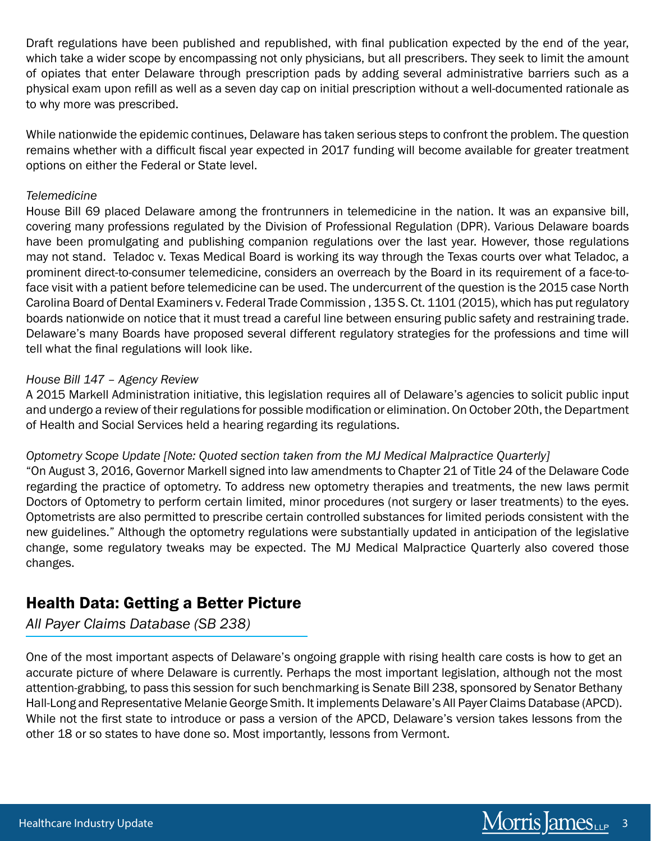Draft regulations have been published and republished, with final publication expected by the end of the year, which take a wider scope by encompassing not only physicians, but all prescribers. They seek to limit the amount of opiates that enter Delaware through prescription pads by adding several administrative barriers such as a physical exam upon refill as well as a seven day cap on initial prescription without a well-documented rationale as to why more was prescribed.

While nationwide the epidemic continues, Delaware has taken serious steps to confront the problem. The question remains whether with a difficult fiscal year expected in 2017 funding will become available for greater treatment options on either the Federal or State level.

#### *Telemedicine*

House Bill 69 placed Delaware among the frontrunners in telemedicine in the nation. It was an expansive bill, covering many professions regulated by the Division of Professional Regulation (DPR). Various Delaware boards have been promulgating and publishing companion regulations over the last year. However, those regulations may not stand. Teladoc v. Texas Medical Board is working its way through the Texas courts over what Teladoc, a prominent direct-to-consumer telemedicine, considers an overreach by the Board in its requirement of a face-toface visit with a patient before telemedicine can be used. The undercurrent of the question is the 2015 case North Carolina Board of Dental Examiners v. Federal Trade Commission , 135 S. Ct. 1101 (2015), which has put regulatory boards nationwide on notice that it must tread a careful line between ensuring public safety and restraining trade. Delaware's many Boards have proposed several different regulatory strategies for the professions and time will tell what the final regulations will look like.

#### *House Bill 147 – Agency Review*

A 2015 Markell Administration initiative, this legislation requires all of Delaware's agencies to solicit public input and undergo a review of their regulations for possible modification or elimination. On October 20th, the Department of Health and Social Services held a hearing regarding its regulations.

#### *Optometry Scope Update [Note: Quoted section taken from the MJ Medical Malpractice Quarterly]*

"On August 3, 2016, Governor Markell signed into law amendments to Chapter 21 of Title 24 of the Delaware Code regarding the practice of optometry. To address new optometry therapies and treatments, the new laws permit Doctors of Optometry to perform certain limited, minor procedures (not surgery or laser treatments) to the eyes. Optometrists are also permitted to prescribe certain controlled substances for limited periods consistent with the new guidelines." Although the optometry regulations were substantially updated in anticipation of the legislative change, some regulatory tweaks may be expected. The MJ Medical Malpractice Quarterly also covered those changes.

#### Health Data: Getting a Better Picture

*All Payer Claims Database (SB 238)*

One of the most important aspects of Delaware's ongoing grapple with rising health care costs is how to get an accurate picture of where Delaware is currently. Perhaps the most important legislation, although not the most attention-grabbing, to pass this session for such benchmarking is Senate Bill 238, sponsored by Senator Bethany Hall-Long and Representative Melanie George Smith. It implements Delaware's All Payer Claims Database (APCD). While not the first state to introduce or pass a version of the APCD, Delaware's version takes lessons from the other 18 or so states to have done so. Most importantly, lessons from Vermont.

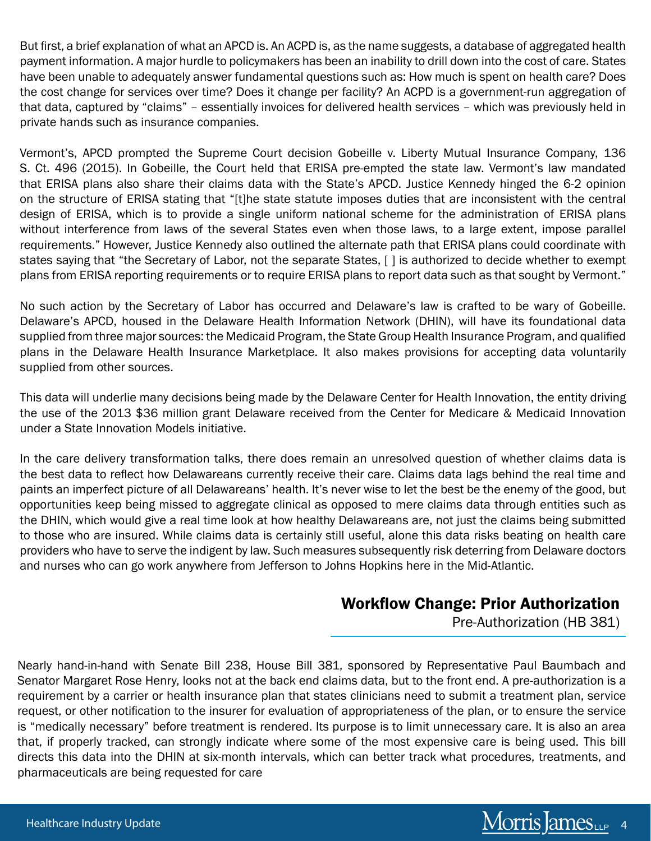But first, a brief explanation of what an APCD is. An ACPD is, as the name suggests, a database of aggregated health payment information. A major hurdle to policymakers has been an inability to drill down into the cost of care. States have been unable to adequately answer fundamental questions such as: How much is spent on health care? Does the cost change for services over time? Does it change per facility? An ACPD is a government-run aggregation of that data, captured by "claims" – essentially invoices for delivered health services – which was previously held in private hands such as insurance companies.

Vermont's, APCD prompted the Supreme Court decision Gobeille v. Liberty Mutual Insurance Company, 136 S. Ct. 496 (2015). In Gobeille, the Court held that ERISA pre-empted the state law. Vermont's law mandated that ERISA plans also share their claims data with the State's APCD. Justice Kennedy hinged the 6-2 opinion on the structure of ERISA stating that "[t]he state statute imposes duties that are inconsistent with the central design of ERISA, which is to provide a single uniform national scheme for the administration of ERISA plans without interference from laws of the several States even when those laws, to a large extent, impose parallel requirements." However, Justice Kennedy also outlined the alternate path that ERISA plans could coordinate with states saying that "the Secretary of Labor, not the separate States, [ ] is authorized to decide whether to exempt plans from ERISA reporting requirements or to require ERISA plans to report data such as that sought by Vermont."

No such action by the Secretary of Labor has occurred and Delaware's law is crafted to be wary of Gobeille. Delaware's APCD, housed in the Delaware Health Information Network (DHIN), will have its foundational data supplied from three major sources: the Medicaid Program, the State Group Health Insurance Program, and qualified plans in the Delaware Health Insurance Marketplace. It also makes provisions for accepting data voluntarily supplied from other sources.

This data will underlie many decisions being made by the Delaware Center for Health Innovation, the entity driving the use of the 2013 \$36 million grant Delaware received from the Center for Medicare & Medicaid Innovation under a State Innovation Models initiative.

In the care delivery transformation talks, there does remain an unresolved question of whether claims data is the best data to reflect how Delawareans currently receive their care. Claims data lags behind the real time and paints an imperfect picture of all Delawareans' health. It's never wise to let the best be the enemy of the good, but opportunities keep being missed to aggregate clinical as opposed to mere claims data through entities such as the DHIN, which would give a real time look at how healthy Delawareans are, not just the claims being submitted to those who are insured. While claims data is certainly still useful, alone this data risks beating on health care providers who have to serve the indigent by law. Such measures subsequently risk deterring from Delaware doctors and nurses who can go work anywhere from Jefferson to Johns Hopkins here in the Mid-Atlantic.

#### Workflow Change: Prior Authorization

Pre-Authorization (HB 381)

Nearly hand-in-hand with Senate Bill 238, House Bill 381, sponsored by Representative Paul Baumbach and Senator Margaret Rose Henry, looks not at the back end claims data, but to the front end. A pre-authorization is a requirement by a carrier or health insurance plan that states clinicians need to submit a treatment plan, service request, or other notification to the insurer for evaluation of appropriateness of the plan, or to ensure the service is "medically necessary" before treatment is rendered. Its purpose is to limit unnecessary care. It is also an area that, if properly tracked, can strongly indicate where some of the most expensive care is being used. This bill directs this data into the DHIN at six-month intervals, which can better track what procedures, treatments, and pharmaceuticals are being requested for care

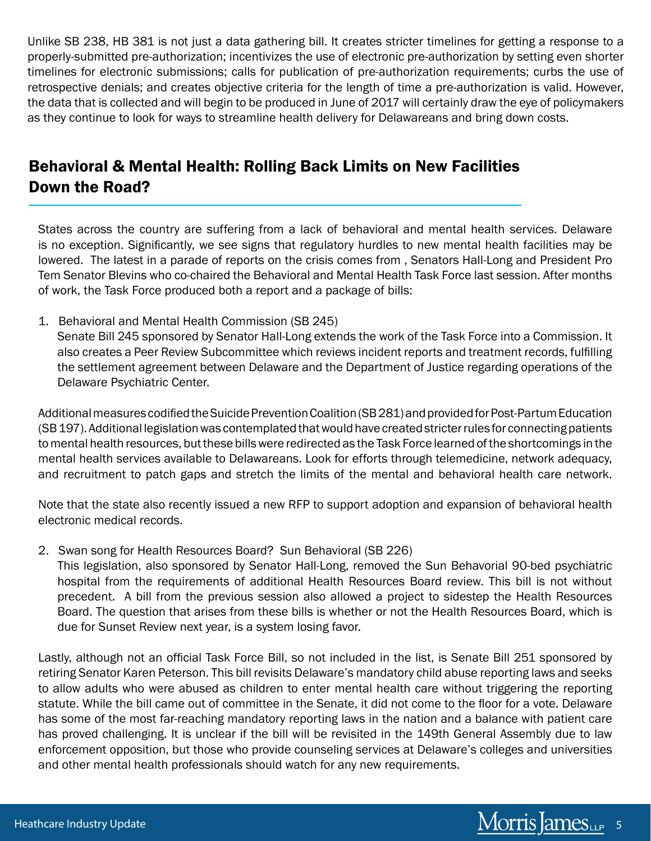Unlike SB 238, HB 381 is not just a data gathering bill. It creates stricter timelines for getting a response to a properly-submitted pre-authorization; incentivizes the use of electronic pre-authorization by setting even shorter timelines for electronic submissions; calls for publication of pre-authorization requirements; curbs the use of retrospective denials; and creates objective criteria for the length of time a pre-authorization is valid. However, the data that is collected and will begin to be produced in June of 2017 will certainly draw the eye of policymakers as they continue to look for ways to streamline health delivery for Delawareans and bring down costs.

## Behavioral & Mental Health: Rolling Back Limits on New Facilities Down the Road?

States across the country are suffering from a lack of behavioral and mental health services. Delaware is no exception. Significantly, we see signs that regulatory hurdles to new mental health facilities may be lowered. The latest in a parade of reports on the crisis comes from , Senators Hall-Long and President Pro Tem Senator Blevins who co-chaired the Behavioral and Mental Health Task Force last session. After months of work, the Task Force produced both a report and a package of bills:

1. Behavioral and Mental Health Commission (SB 245) Senate Bill 245 sponsored by Senator Hall-Long extends the work of the Task Force into a Commission. It also creates a Peer Review Subcommittee which reviews incident reports and treatment records, fulfilling the settlement agreement between Delaware and the Department of Justice regarding operations of the Delaware Psychiatric Center.

Additional measures codified the Suicide Prevention Coalition (SB 281) and provided for Post-Partum Education (SB 197). Additional legislation was contemplated that would have created stricter rules for connecting patients to mental health resources, but these bills were redirected as the Task Force learned of the shortcomings in the mental health services available to Delawareans. Look for efforts through telemedicine, network adequacy, and recruitment to patch gaps and stretch the limits of the mental and behavioral health care network.

Note that the state also recently issued a new RFP to support adoption and expansion of behavioral health electronic medical records.

2. Swan song for Health Resources Board? Sun Behavioral (SB 226)

This legislation, also sponsored by Senator Hall-Long, removed the Sun Behavorial 90-bed psychiatric hospital from the requirements of additional Health Resources Board review. This bill is not without precedent. A bill from the previous session also allowed a project to sidestep the Health Resources Board. The question that arises from these bills is whether or not the Health Resources Board, which is due for Sunset Review next year, is a system losing favor.

Lastly, although not an official Task Force Bill, so not included in the list, is Senate Bill 251 sponsored by retiring Senator Karen Peterson. This bill revisits Delaware's mandatory child abuse reporting laws and seeks to allow adults who were abused as children to enter mental health care without triggering the reporting statute. While the bill came out of committee in the Senate, it did not come to the floor for a vote. Delaware has some of the most far-reaching mandatory reporting laws in the nation and a balance with patient care has proved challenging. It is unclear if the bill will be revisited in the 149th General Assembly due to law enforcement opposition, but those who provide counseling services at Delaware's colleges and universities and other mental health professionals should watch for any new requirements.

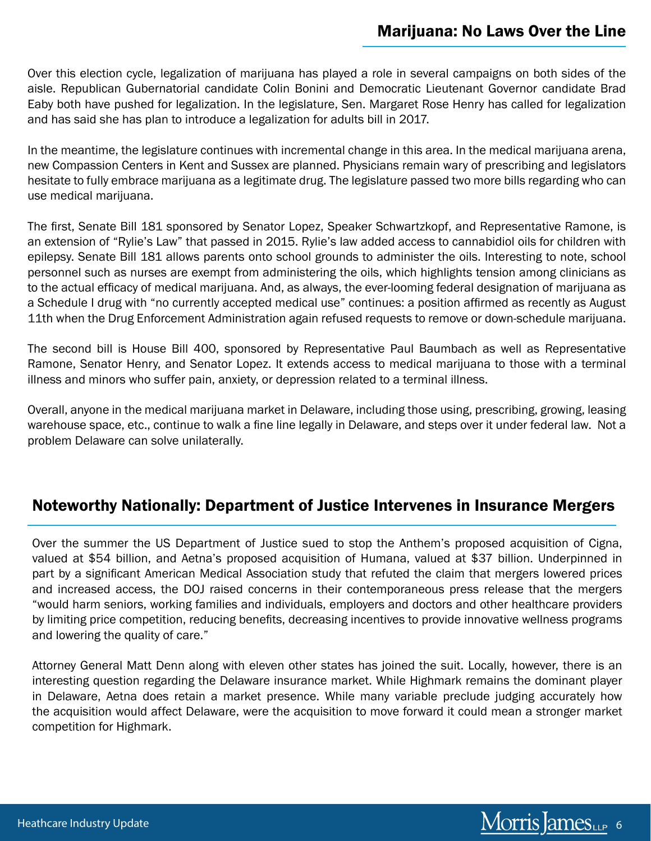Over this election cycle, legalization of marijuana has played a role in several campaigns on both sides of the aisle. Republican Gubernatorial candidate Colin Bonini and Democratic Lieutenant Governor candidate Brad Eaby both have pushed for legalization. In the legislature, Sen. Margaret Rose Henry has called for legalization and has said she has plan to introduce a legalization for adults bill in 2017.

In the meantime, the legislature continues with incremental change in this area. In the medical marijuana arena, new Compassion Centers in Kent and Sussex are planned. Physicians remain wary of prescribing and legislators hesitate to fully embrace marijuana as a legitimate drug. The legislature passed two more bills regarding who can use medical marijuana.

The first, Senate Bill 181 sponsored by Senator Lopez, Speaker Schwartzkopf, and Representative Ramone, is an extension of "Rylie's Law" that passed in 2015. Rylie's law added access to cannabidiol oils for children with epilepsy. Senate Bill 181 allows parents onto school grounds to administer the oils. Interesting to note, school personnel such as nurses are exempt from administering the oils, which highlights tension among clinicians as to the actual efficacy of medical marijuana. And, as always, the ever-looming federal designation of marijuana as a Schedule I drug with "no currently accepted medical use" continues: a position affirmed as recently as August 11th when the Drug Enforcement Administration again refused requests to remove or down-schedule marijuana.

The second bill is House Bill 400, sponsored by Representative Paul Baumbach as well as Representative Ramone, Senator Henry, and Senator Lopez. It extends access to medical marijuana to those with a terminal illness and minors who suffer pain, anxiety, or depression related to a terminal illness.

Overall, anyone in the medical marijuana market in Delaware, including those using, prescribing, growing, leasing warehouse space, etc., continue to walk a fine line legally in Delaware, and steps over it under federal law. Not a problem Delaware can solve unilaterally.

#### Noteworthy Nationally: Department of Justice Intervenes in Insurance Mergers

Over the summer the US Department of Justice sued to stop the Anthem's proposed acquisition of Cigna, valued at \$54 billion, and Aetna's proposed acquisition of Humana, valued at \$37 billion. Underpinned in part by a significant American Medical Association study that refuted the claim that mergers lowered prices and increased access, the DOJ raised concerns in their contemporaneous press release that the mergers "would harm seniors, working families and individuals, employers and doctors and other healthcare providers by limiting price competition, reducing benefits, decreasing incentives to provide innovative wellness programs and lowering the quality of care."

Attorney General Matt Denn along with eleven other states has joined the suit. Locally, however, there is an interesting question regarding the Delaware insurance market. While Highmark remains the dominant player in Delaware, Aetna does retain a market presence. While many variable preclude judging accurately how the acquisition would affect Delaware, were the acquisition to move forward it could mean a stronger market competition for Highmark.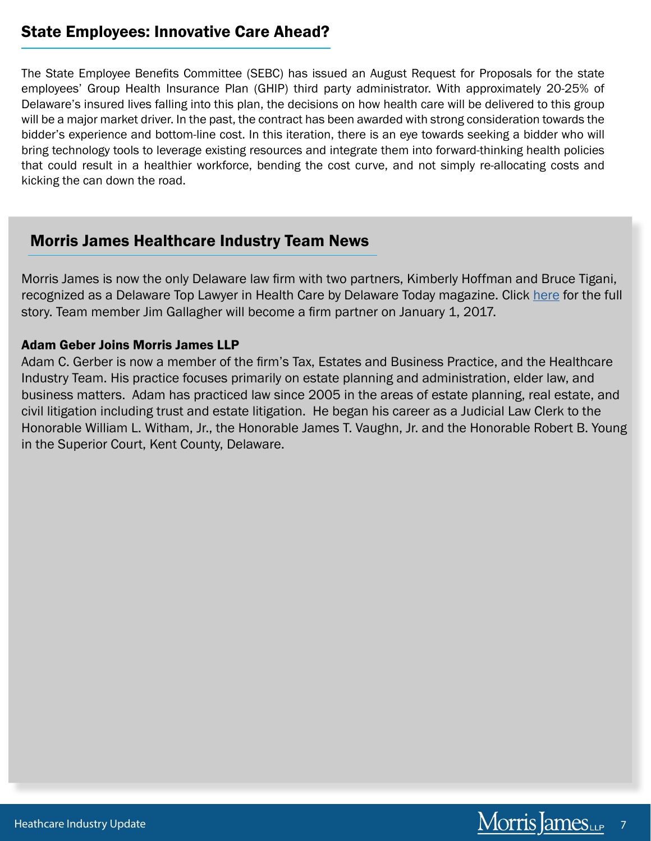### State Employees: Innovative Care Ahead?

The State Employee Benefits Committee (SEBC) has issued an August Request for Proposals for the state employees' Group Health Insurance Plan (GHIP) third party administrator. With approximately 20-25% of Delaware's insured lives falling into this plan, the decisions on how health care will be delivered to this group will be a major market driver. In the past, the contract has been awarded with strong consideration towards the bidder's experience and bottom-line cost. In this iteration, there is an eye towards seeking a bidder who will bring technology tools to leverage existing resources and integrate them into forward-thinking health policies that could result in a healthier workforce, bending the cost curve, and not simply re-allocating costs and kicking the can down the road.

### Morris James Healthcare Industry Team News

Morris James is now the only Delaware law firm with two partners, Kimberly Hoffman and Bruce Tigani, recognized as a Delaware Top Lawyer in Health Care by Delaware Today magazine. Click [here](http://www.morrisjames.com/newsroom-news-701.html) for the full story. Team member Jim Gallagher will become a firm partner on January 1, 2017.

#### Adam Geber Joins Morris James LLP

Adam C. Gerber is now a member of the firm's Tax, Estates and Business Practice, and the Healthcare Industry Team. His practice focuses primarily on estate planning and administration, elder law, and business matters. Adam has practiced law since 2005 in the areas of estate planning, real estate, and civil litigation including trust and estate litigation. He began his career as a Judicial Law Clerk to the Honorable William L. Witham, Jr., the Honorable James T. Vaughn, Jr. and the Honorable Robert B. Young in the Superior Court, Kent County, Delaware.